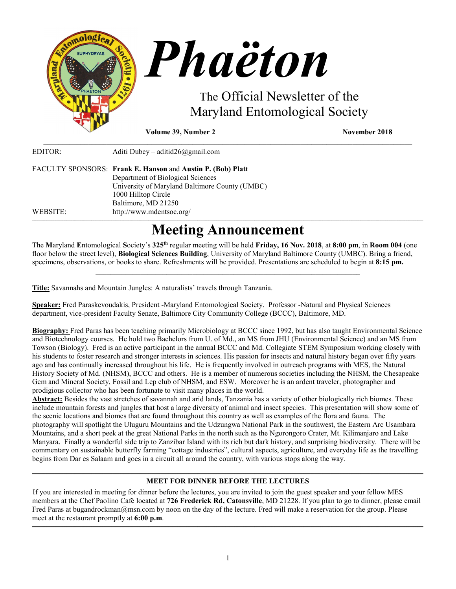

**Volume 39, Number 2** November 2018

| EDITOR:  | Aditi Dubey – aditid $26$ @gmail.com                                                |
|----------|-------------------------------------------------------------------------------------|
|          | FACULTY SPONSORS: Frank E. Hanson and Austin P. (Bob) Platt                         |
|          | Department of Biological Sciences<br>University of Maryland Baltimore County (UMBC) |
|          | 1000 Hilltop Circle                                                                 |
|          | Baltimore, MD 21250                                                                 |
| WEBSITE: | http://www.mdentsoc.org/                                                            |

# **Meeting Announcement**

\_\_\_\_\_\_\_\_\_\_\_\_\_\_\_\_\_\_\_\_\_\_\_\_\_\_\_\_\_\_\_\_\_\_\_\_\_\_\_\_\_\_\_\_\_\_\_\_\_\_\_\_\_\_\_\_\_\_\_\_\_\_\_\_\_\_\_\_\_\_\_\_\_\_\_\_\_\_\_\_\_\_\_\_\_\_\_\_\_\_\_\_\_\_\_\_\_\_\_

The **M**aryland **E**ntomological **S**ociety's **325th** regular meeting will be held **Friday, 16 Nov. 2018**, at **8:00 pm**, in **Room 004** (one floor below the street level), **Biological Sciences Building**, University of Maryland Baltimore County (UMBC). Bring a friend, specimens, observations, or books to share. Refreshments will be provided. Presentations are scheduled to begin at **8:15 pm.**

 $\mathcal{L}_\mathcal{L} = \{ \mathcal{L}_\mathcal{L} = \{ \mathcal{L}_\mathcal{L} = \{ \mathcal{L}_\mathcal{L} = \{ \mathcal{L}_\mathcal{L} = \{ \mathcal{L}_\mathcal{L} = \{ \mathcal{L}_\mathcal{L} = \{ \mathcal{L}_\mathcal{L} = \{ \mathcal{L}_\mathcal{L} = \{ \mathcal{L}_\mathcal{L} = \{ \mathcal{L}_\mathcal{L} = \{ \mathcal{L}_\mathcal{L} = \{ \mathcal{L}_\mathcal{L} = \{ \mathcal{L}_\mathcal{L} = \{ \mathcal{L}_\mathcal{$ 

**Title:** Savannahs and Mountain Jungles: A naturalists' travels through Tanzania.

**Speaker:** Fred Paraskevoudakis, President -Maryland Entomological Society. Professor -Natural and Physical Sciences department, vice-president Faculty Senate, Baltimore City Community College (BCCC), Baltimore, MD.

**Biography:** Fred Paras has been teaching primarily Microbiology at BCCC since 1992, but has also taught Environmental Science and Biotechnology courses. He hold two Bachelors from U. of Md., an MS from JHU (Environmental Science) and an MS from Towson (Biology). Fred is an active participant in the annual BCCC and Md. Collegiate STEM Symposium working closely with his students to foster research and stronger interests in sciences. His passion for insects and natural history began over fifty years ago and has continually increased throughout his life. He is frequently involved in outreach programs with MES, the Natural History Society of Md. (NHSM), BCCC and others. He is a member of numerous societies including the NHSM, the Chesapeake Gem and Mineral Society, Fossil and Lep club of NHSM, and ESW. Moreover he is an ardent traveler, photographer and prodigious collector who has been fortunate to visit many places in the world.

**Abstract:** Besides the vast stretches of savannah and arid lands, Tanzania has a variety of other biologically rich biomes. These include mountain forests and jungles that host a large diversity of animal and insect species. This presentation will show some of the scenic locations and biomes that are found throughout this country as well as examples of the flora and fauna. The photography will spotlight the Uluguru Mountains and the Udzungwa National Park in the southwest, the Eastern Arc Usambara Mountains, and a short peek at the great National Parks in the north such as the Ngorongoro Crater, Mt. Kilimanjaro and Lake Manyara. Finally a wonderful side trip to Zanzibar Island with its rich but dark history, and surprising biodiversity. There will be commentary on sustainable butterfly farming "cottage industries", cultural aspects, agriculture, and everyday life as the travelling begins from Dar es Salaam and goes in a circuit all around the country, with various stops along the way.

#### **\_\_\_\_\_\_\_\_\_\_\_\_\_\_\_\_\_\_\_\_\_\_\_\_\_\_\_\_\_\_\_\_\_\_\_\_\_\_\_\_\_\_\_\_\_\_\_\_\_\_\_\_\_\_\_\_\_\_\_\_\_\_\_\_\_\_\_\_\_\_\_\_\_\_\_\_\_\_\_\_\_\_\_\_\_\_\_\_\_\_\_\_\_\_\_\_\_\_\_\_\_\_\_\_\_\_\_\_\_\_\_\_\_\_\_\_\_\_\_\_\_\_\_\_\_\_\_\_\_\_\_\_\_\_\_\_\_\_\_\_\_\_\_\_\_\_\_\_\_\_\_\_\_\_\_\_\_\_\_\_\_\_\_\_\_\_\_\_\_\_\_\_\_\_\_\_\_\_\_\_\_\_\_\_\_\_\_\_\_\_\_\_\_\_\_\_\_\_\_\_\_\_\_\_\_\_\_\_\_\_\_\_\_\_\_\_\_\_\_\_\_\_\_\_\_\_\_\_\_\_\_\_\_\_\_\_\_\_\_\_\_\_\_\_\_\_\_\_\_\_\_\_\_\_\_\_\_\_\_\_\_\_\_\_\_\_\_\_\_\_\_\_\_\_\_\_\_\_\_\_\_\_\_\_\_\_\_\_\_\_\_\_\_\_\_\_\_\_\_\_\_\_\_\_\_\_\_\_\_\_\_\_\_\_\_\_\_\_\_\_\_\_\_\_\_\_\_\_\_\_\_\_\_\_\_\_\_\_\_\_\_\_\_\_\_\_\_\_\_\_ MEET FOR DINNER BEFORE THE LECTURES**

If you are interested in meeting for dinner before the lectures, you are invited to join the guest speaker and your fellow MES members at the [Chef Paolino Café](https://www.google.com/maps/place/Chef+Paolino+Cafe/@39.2727924,-76.7320191,15z/data=!4m5!3m4!1s0x0:0x5b7140dd2ad4f543!8m2!3d39.2727924!4d-76.7320191) located at **726 Frederick Rd, Catonsville**, MD 21228. If you plan to go to dinner, please email Fred Paras at bugandrockman@msn.com by noon on the day of the lecture. Fred will make a reservation for the group. Please meet at the restaurant promptly at **6:00 p.m**.

**\_\_\_\_\_\_\_\_\_\_\_\_\_\_\_\_\_\_\_\_\_\_\_\_\_\_\_\_\_\_\_\_\_\_\_\_\_\_\_\_\_\_\_\_\_\_\_\_\_\_\_\_\_\_\_\_\_\_\_\_\_\_\_\_\_\_\_\_\_\_\_\_\_\_\_\_\_\_\_\_\_\_\_\_\_\_\_\_\_\_\_\_\_\_\_\_\_\_\_\_\_\_\_\_\_\_\_\_\_\_\_\_\_\_\_\_\_\_\_\_\_\_\_\_\_\_\_\_\_\_\_\_\_\_\_\_\_\_\_\_\_\_\_\_\_\_\_\_\_\_\_\_\_\_\_\_\_\_\_\_\_\_\_\_\_\_\_\_\_\_\_\_\_\_\_\_\_\_\_\_\_\_\_\_\_\_\_\_\_\_\_\_\_\_\_\_\_\_\_\_\_\_\_\_\_\_\_\_\_\_\_\_\_\_\_\_\_\_\_\_\_\_\_\_\_\_\_\_\_\_\_\_\_\_\_\_\_\_\_\_\_\_\_\_\_\_\_\_\_\_\_\_\_\_\_\_\_\_\_\_\_\_\_\_\_\_\_\_\_\_\_\_\_\_\_\_\_\_\_\_\_\_\_\_\_\_\_\_\_\_\_\_\_\_\_\_\_\_\_\_\_\_\_\_\_\_\_\_\_\_\_\_\_\_\_\_\_\_\_\_\_\_\_\_\_\_\_\_\_\_\_\_\_\_\_\_\_\_\_\_\_\_\_\_\_\_\_\_\_\_**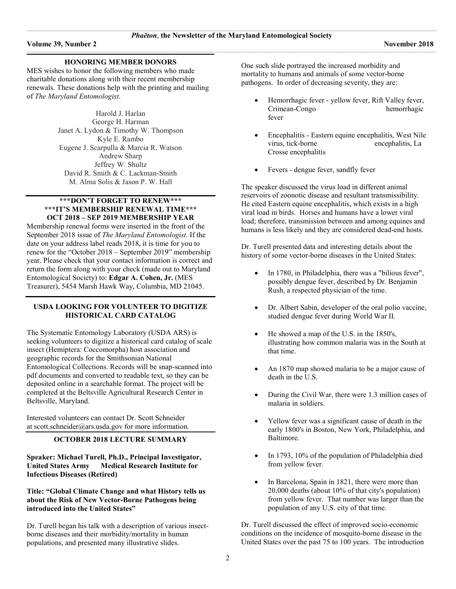#### **\_\_\_\_\_\_\_\_\_\_\_\_\_\_\_\_\_\_\_\_\_\_\_\_\_\_\_\_\_\_\_\_\_\_\_\_\_\_\_\_\_\_\_\_\_\_\_\_\_\_\_\_\_\_\_\_\_\_\_\_\_\_\_\_\_\_\_\_\_\_\_\_\_\_\_\_\_\_\_\_\_\_\_\_\_\_\_\_\_\_\_\_\_\_\_\_\_\_\_\_\_\_\_\_\_\_\_\_\_\_\_\_\_\_\_\_\_\_\_\_\_\_\_\_\_\_\_\_\_\_\_\_\_\_\_\_\_\_\_\_\_\_\_\_\_\_\_\_\_\_\_\_\_\_\_\_\_\_\_\_\_\_\_\_\_\_\_\_ HONORING MEMBER DONORS**

MES wishes to honor the following members who made charitable donations along with their recent membership renewals. These donations help with the printing and mailing of *The Maryland Entomologist*.

> Harold J. Harlan George H. Harman Janet A. Lydon & Timothy W. Thompson Kyle E. Rambo Eugene J. Scarpulla & Marcia R. Watson Andrew Sharp Jeffrey W. Shultz David R. Smith & C. Lackman-Smith M. Alma Solis & Jason P. W. Hall

#### **\*\*\*DON'T FORGET TO RENEW\*\*\* \*\*\*IT'S MEMBERSHIP RENEWAL TIME\*\*\* OCT 2018 – SEP 2019 MEMBERSHIP YEAR**

Membership renewal forms were inserted in the front of the September 2018 issue of *The Maryland Entomologist*. If the date on your address label reads 2018, it is time for you to renew for the "October 2018 – September 2019" membership year. Please check that your contact information is correct and return the form along with your check (made out to Maryland Entomological Society) to: **Edgar A. Cohen, Jr.** (MES Treasurer), 5454 Marsh Hawk Way, Columbia, MD 21045.

#### **USDA LOOKING FOR VOLUNTEER TO DIGITIZE HISTORICAL CARD CATALOG**

The Systematic Entomology Laboratory (USDA ARS) is seeking volunteers to digitize a historical card catalog of scale insect (Hemiptera: Coccomorpha) host association and geographic records for the Smithsonian National Entomological Collections. Records will be snap-scanned into pdf documents and converted to readable text, so they can be deposited online in a searchable format. The project will be completed at the Beltsville Agricultural Research Center in Beltsville, Maryland.

Interested volunteers can contact Dr. Scott Schneider at [scott.schneider@ars.usda.gov](mailto:scott.schneider@ars.usda.gov) for more information.

#### **OCTOBER 2018 LECTURE SUMMARY**

**Speaker: Michael Turell, Ph.D., Principal Investigator, United States Army Medical Research Institute for Infectious Diseases (Retired)**

#### **Title: "Global Climate Change and what History tells us about the Risk of New Vector-Borne Pathogens being introduced into the United States"**

Dr. Turell began his talk with a description of various insectborne diseases and their morbidity/mortality in human populations, and presented many illustrative slides.

One such slide portrayed the increased morbidity and mortality to humans and animals of some vector-borne pathogens. In order of decreasing severity, they are:

- Hemorrhagic fever yellow fever, Rift Valley fever, Crimean-Congo hemorrhagic fever
- Encephalitis Eastern equine encephalitis, West Nile virus, tick-borne encephalitis, La Crosse encephalitis
- Fevers dengue fever, sandfly fever

The speaker discussed the virus load in different animal reservoirs of zoonotic disease and resultant transmissibility. He cited Eastern equine encephalitis, which exists in a high viral load in birds. Horses and humans have a lower viral load; therefore, transmission between and among equines and humans is less likely and they are considered dead-end hosts.

Dr. Turell presented data and interesting details about the history of some vector-borne diseases in the United States:

- In 1780, in Philadelphia, there was a "bilious fever", possibly dengue fever, described by Dr. Benjamin Rush, a respected physician of the time.
- Dr. Albert Sabin, developer of the oral polio vaccine, studied dengue fever during World War II.
- He showed a map of the U.S. in the 1850's, illustrating how common malaria was in the South at that time.
- An 1870 map showed malaria to be a major cause of death in the U.S.
- During the Civil War, there were 1.3 million cases of malaria in soldiers.
- Yellow fever was a significant cause of death in the early 1800's in Boston, New York, Philadelphia, and Baltimore.
- In 1793, 10% of the population of Philadelphia died from yellow fever.
- In Barcelona, Spain in 1821, there were more than 20,000 deaths (about 10% of that city's population) from yellow fever. That number was larger than the population of any U.S. city of that time.

Dr. Turell discussed the effect of improved socio-economic conditions on the incidence of mosquito-borne disease in the United States over the past 75 to 100 years. The introduction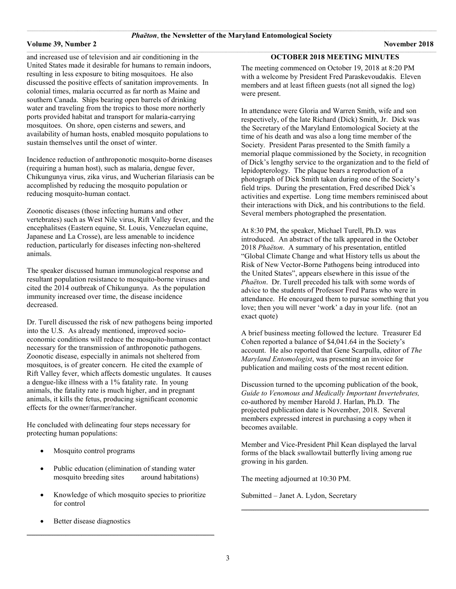#### **Volume 39, Number 2 November 2018**

 $\_$  , and the set of the set of the set of the set of the set of the set of the set of the set of the set of the set of the set of the set of the set of the set of the set of the set of the set of the set of the set of th and increased use of television and air conditioning in the United States made it desirable for humans to remain indoors, resulting in less exposure to biting mosquitoes. He also discussed the positive effects of sanitation improvements. In colonial times, malaria occurred as far north as Maine and southern Canada. Ships bearing open barrels of drinking water and traveling from the tropics to those more northerly ports provided habitat and transport for malaria-carrying mosquitoes. On shore, open cisterns and sewers, and availability of human hosts, enabled mosquito populations to sustain themselves until the onset of winter.

Incidence reduction of anthroponotic mosquito-borne diseases (requiring a human host), such as malaria, dengue fever, Chikungunya virus, zika virus, and Wucherian filariasis can be accomplished by reducing the mosquito population or reducing mosquito-human contact.

Zoonotic diseases (those infecting humans and other vertebrates) such as West Nile virus, Rift Valley fever, and the encephalitses (Eastern equine, St. Louis, Venezuelan equine, Japanese and La Crosse), are less amenable to incidence reduction, particularly for diseases infecting non-sheltered animals.

The speaker discussed human immunological response and resultant population resistance to mosquito-borne viruses and cited the 2014 outbreak of Chikungunya. As the population immunity increased over time, the disease incidence decreased.

Dr. Turell discussed the risk of new pathogens being imported into the U.S. As already mentioned, improved socioeconomic conditions will reduce the mosquito-human contact necessary for the transmission of anthroponotic pathogens. Zoonotic disease, especially in animals not sheltered from mosquitoes, is of greater concern. He cited the example of Rift Valley fever, which affects domestic ungulates. It causes a dengue-like illness with a 1% fatality rate. In young animals, the fatality rate is much higher, and in pregnant animals, it kills the fetus, producing significant economic effects for the owner/farmer/rancher.

He concluded with delineating four steps necessary for protecting human populations:

- Mosquito control programs
- Public education (elimination of standing water mosquito breeding sites around habitations)
- Knowledge of which mosquito species to prioritize for control

**\_\_\_\_\_\_\_\_\_\_\_\_\_\_\_\_\_\_\_\_\_\_\_\_\_\_\_\_\_\_\_\_\_\_\_\_\_\_\_\_\_\_\_\_\_\_\_\_\_\_\_\_\_\_\_\_\_\_\_\_\_\_\_\_\_\_\_\_\_\_\_\_\_\_\_\_\_\_\_\_\_\_\_\_\_\_\_\_\_\_\_\_\_\_\_\_\_\_\_\_\_\_\_\_\_\_\_\_\_\_\_\_\_\_\_\_\_\_\_\_\_\_\_\_\_\_\_\_\_\_\_\_\_\_\_\_\_\_\_\_\_\_\_\_\_\_\_\_\_\_\_\_\_\_\_\_\_\_\_\_\_\_\_\_\_\_\_\_**

Better disease diagnostics

#### **OCTOBER 2018 MEETING MINUTES**

The meeting commenced on October 19, 2018 at 8:20 PM with a welcome by President Fred Paraskevoudakis. Eleven members and at least fifteen guests (not all signed the log) were present.

In attendance were Gloria and Warren Smith, wife and son respectively, of the late Richard (Dick) Smith, Jr. Dick was the Secretary of the Maryland Entomological Society at the time of his death and was also a long time member of the Society. President Paras presented to the Smith family a memorial plaque commissioned by the Society, in recognition of Dick's lengthy service to the organization and to the field of lepidopterology. The plaque bears a reproduction of a photograph of Dick Smith taken during one of the Society's field trips. During the presentation, Fred described Dick's activities and expertise. Long time members reminisced about their interactions with Dick, and his contributions to the field. Several members photographed the presentation.

At 8:30 PM, the speaker, Michael Turell, Ph.D. was introduced. An abstract of the talk appeared in the October 2018 *Phaëton*. A summary of his presentation, entitled "Global Climate Change and what History tells us about the Risk of New Vector-Borne Pathogens being introduced into the United States", appears elsewhere in this issue of the *Phaëton*. Dr. Turell preceded his talk with some words of advice to the students of Professor Fred Paras who were in attendance. He encouraged them to pursue something that you love; then you will never 'work' a day in your life. (not an exact quote)

A brief business meeting followed the lecture. Treasurer Ed Cohen reported a balance of \$4,041.64 in the Society's account. He also reported that Gene Scarpulla, editor of *The Maryland Entomologist*, was presenting an invoice for publication and mailing costs of the most recent edition.

Discussion turned to the upcoming publication of the book, *Guide to Venomous and Medically Important Invertebrates,* co-authored by member Harold J. Harlan, Ph.D. The projected publication date is November, 2018. Several members expressed interest in purchasing a copy when it becomes available.

Member and Vice-President Phil Kean displayed the larval forms of the black swallowtail butterfly living among rue growing in his garden.

**\_\_\_\_\_\_\_\_\_\_\_\_\_\_\_\_\_\_\_\_\_\_\_\_\_\_\_\_\_\_\_\_\_\_\_\_\_\_\_\_\_\_\_\_\_\_\_\_\_\_\_\_\_\_\_\_\_\_\_\_\_\_\_\_\_\_\_\_\_\_\_\_\_\_\_\_\_\_\_\_\_\_\_\_\_\_\_\_\_\_\_\_\_\_\_\_\_\_\_\_\_\_\_\_\_\_\_\_\_\_\_\_\_\_\_\_\_\_\_\_\_\_\_\_\_\_\_\_\_\_\_\_\_\_\_\_\_\_\_\_\_\_\_\_\_\_\_\_\_\_\_\_\_\_\_\_\_\_\_\_\_\_\_\_\_\_\_\_**

The meeting adjourned at 10:30 PM.

Submitted – Janet A. Lydon, Secretary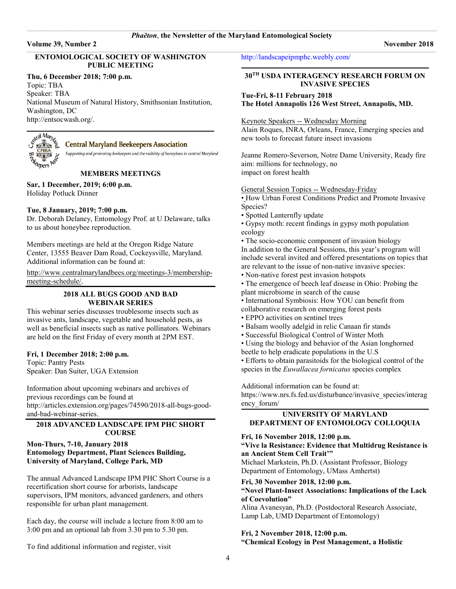#### \_\_\_\_\_\_\_\_\_\_\_\_\_\_\_\_\_\_\_\_\_\_\_\_\_\_\_\_\_\_\_\_\_\_\_\_\_\_\_\_\_\_\_\_\_\_\_\_\_\_\_\_\_\_\_\_\_\_\_\_\_\_\_\_\_\_\_\_\_\_\_\_\_\_\_\_\_\_\_\_\_\_\_\_\_\_\_\_\_\_\_\_\_\_\_\_\_\_\_\_\_\_\_\_\_\_\_\_\_\_\_\_\_\_\_\_\_\_\_\_\_\_\_\_\_\_\_\_\_\_\_\_\_\_\_\_\_\_\_\_\_\_\_\_\_\_\_\_\_\_\_\_\_\_\_\_\_\_\_\_\_\_\_\_\_\_\_\_\_\_\_\_\_\_\_\_\_\_\_\_\_\_\_\_\_\_\_\_\_\_\_\_\_\_\_\_\_\_\_\_\_\_\_\_\_\_\_\_\_\_\_\_\_\_\_\_\_\_\_\_ *Phaëton*, **the Newsletter of the Maryland Entomological Society**

 $\_$  , and the set of the set of the set of the set of the set of the set of the set of the set of the set of the set of the set of the set of the set of the set of the set of the set of the set of the set of the set of th

#### **Volume 39, Number 2 November 2018**

# **ENTOMOLOGICAL SOCIETY OF WASHINGTON PUBLIC MEETING**

#### **Thu, 6 December 2018; 7:00 p.m.**

Topic: TBA Speaker: TBA National Museum of Natural History, Smithsonian Institution, Washington, DC [http://entsocwash.org/.](http://entsocwash.org/)



#### **Central Maryland Beekeepers Association**

Supporting and promoting beekeepers and the viability of honeybees in central Maryland

### **MEMBERS MEETINGS**

**Sar, 1 December, 2019; 6:00 p.m.** Holiday Potluck Dinner

#### **Tue, 8 January, 2019; 7:00 p.m.**

Dr. Deborah Delaney, Entomology Prof. at U Delaware, talks to us about honeybee reproduction.

Members meetings are held at the Oregon Ridge Nature Center, 13555 Beaver Dam Road, Cockeysville, Maryland. Additional information can be found at:

[http://www.centralmarylandbees.org/meetings-3/membership](http://www.centralmarylandbees.org/meetings-3/membership-meeting-schedule/)[meeting-schedule/.](http://www.centralmarylandbees.org/meetings-3/membership-meeting-schedule/)

## **2018 ALL BUGS GOOD AND BAD WEBINAR SERIES**

This webinar series discusses troublesome insects such as invasive ants, landscape, vegetable and household pests, as well as beneficial insects such as native pollinators. Webinars are held on the first Friday of every month at 2PM EST.

#### **Fri, 1 December 2018; 2:00 p.m.**

Topic: Pantry Pests Speaker: Dan Suiter, UGA Extension

Information about upcoming webinars and archives of previous recordings can be found at [http://articles.extension.org/pages/74590/2018-all-bugs-good](http://articles.extension.org/pages/74590/2018-all-bugs-good-and-bad-webinar-series)[and-bad-webinar-series.](http://articles.extension.org/pages/74590/2018-all-bugs-good-and-bad-webinar-series)**\_** 

# **2018 ADVANCED LANDSCAPE IPM PHC SHORT COURSE**

#### **Mon-Thurs, 7-10, January 2018 Entomology Department, Plant Sciences Building, University of Maryland, College Park, MD**

The annual Advanced Landscape IPM PHC Short Course is a recertification short course for arborists, landscape supervisors, IPM monitors, advanced gardeners, and others responsible for urban plant management.

Each day, the course will include a lecture from 8:00 am to 3:00 pm and an optional lab from 3.30 pm to 5.30 pm.

To find additional information and register, visit

<http://landscapeipmphc.weebly.com/>

#### **\_\_\_\_\_\_\_\_\_\_\_\_\_\_\_\_\_\_\_\_\_\_\_\_\_\_\_\_\_\_\_\_\_\_\_\_\_\_\_\_\_\_\_\_\_\_\_\_\_\_\_\_\_\_\_\_\_\_\_\_\_\_\_\_\_\_\_\_\_\_\_\_\_\_\_\_\_\_\_\_\_\_\_\_\_\_\_\_\_\_\_\_\_\_\_\_\_\_\_\_\_\_\_\_\_\_\_\_\_\_\_\_\_\_\_\_\_\_\_\_\_\_\_\_\_\_\_\_\_\_\_\_\_\_\_\_\_\_\_\_\_\_\_\_\_\_\_\_\_\_\_\_\_\_\_\_\_\_\_\_\_\_\_\_\_\_\_\_ 30TH USDA INTERAGENCY RESEARCH FORUM ON INVASIVE SPECIES**

**Tue-Fri, 8-11 February 2018 The Hotel Annapolis 126 West Street, Annapolis, MD.** 

Keynote Speakers -- Wednesday Morning

Alain Roques, INRA, Orleans, France, Emerging species and new tools to forecast future insect invasions

Jeanne Romero-Severson, Notre Dame University, Ready fire aim: millions for technology, no impact on forest health

General Session Topics -- Wednesday-Friday

• How Urban Forest Conditions Predict and Promote Invasive Species?

• Spotted Lanternfly update

• Gypsy moth: recent findings in gypsy moth population ecology

• The socio-economic component of invasion biology In addition to the General Sessions, this year's program will include several invited and offered presentations on topics that are relevant to the issue of non-native invasive species:

- Non-native forest pest invasion hotspots
- The emergence of beech leaf disease in Ohio: Probing the plant microbiome in search of the cause
- International Symbiosis: How YOU can benefit from
- collaborative research on emerging forest pests
- EPPO activities on sentinel trees
- Balsam woolly adelgid in relic Canaan fir stands
- Successful Biological Control of Winter Moth
- Using the biology and behavior of the Asian longhorned
- beetle to help eradicate populations in the U.S
- Efforts to obtain parasitoids for the biological control of the species in the *Euwallacea fornicatus* species complex

Additional information can be found at:

[https://www.nrs.fs.fed.us/disturbance/invasive\\_species/interag](https://www.nrs.fs.fed.us/disturbance/invasive_species/interagency_forum/) [ency\\_forum/](https://www.nrs.fs.fed.us/disturbance/invasive_species/interagency_forum/) **\_\_\_\_\_\_\_\_\_\_\_\_\_\_\_\_\_\_\_\_\_\_\_\_\_\_\_\_\_\_\_\_\_\_\_\_\_\_\_\_\_\_\_\_\_\_\_\_\_\_\_\_\_\_\_\_\_\_\_\_\_\_\_\_\_\_\_\_\_\_\_\_\_\_\_\_\_\_\_\_\_\_\_\_\_\_\_\_\_\_\_\_\_\_\_\_\_\_\_\_\_\_\_\_\_\_\_\_\_\_\_\_\_\_\_\_\_\_\_\_\_\_\_\_\_\_\_\_\_\_\_\_\_\_\_\_\_\_\_\_\_\_\_\_\_\_\_\_\_\_\_\_\_\_\_\_\_\_\_\_\_\_\_\_\_\_\_\_**

#### **UNIVERSITY OF MARYLAND DEPARTMENT OF ENTOMOLOGY COLLOQUIA**

#### **Fri, 16 November 2018, 12:00 p.m.**

#### **"Vive la Resistance: Evidence that Multidrug Resistance is an Ancient Stem Cell Trait'"**

Michael Markstein, Ph.D. (Assistant Professor, Biology Department of Entomology, UMass Amhertst)

#### **Fri, 30 November 2018, 12:00 p.m.**

### **"Novel Plant-Insect Associations: Implications of the Lack of Coevolution"**

Alina Avanesyan, Ph.D. (Postdoctoral Research Associate, Lamp Lab, UMD Department of Entomology)

#### **Fri, 2 November 2018, 12:00 p.m.**

**"Chemical Ecology in Pest Management, a Holistic**